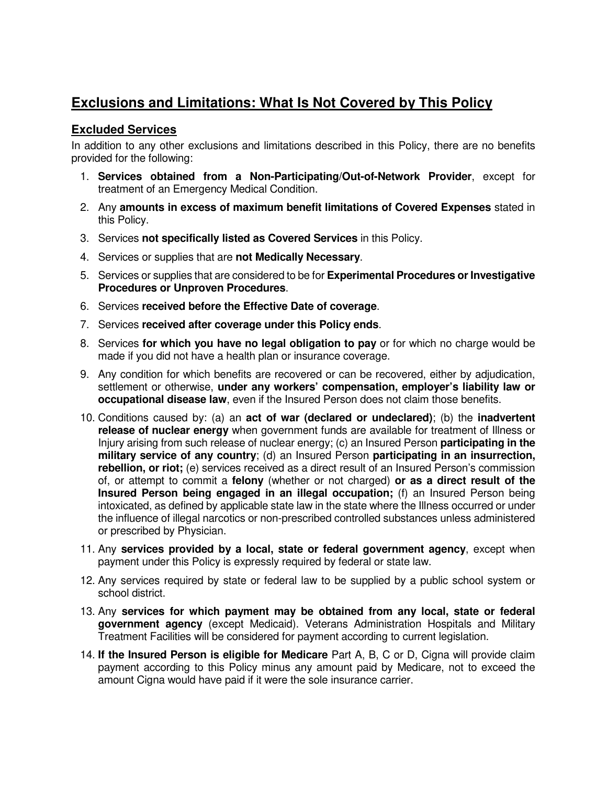## **Exclusions and Limitations: What Is Not Covered by This Policy**

## **Excluded Services**

In addition to any other exclusions and limitations described in this Policy, there are no benefits provided for the following:

- 1. **Services obtained from a Non-Participating/Out-of-Network Provider**, except for treatment of an Emergency Medical Condition.
- 2. Any **amounts in excess of maximum benefit limitations of Covered Expenses** stated in this Policy.
- 3. Services **not specifically listed as Covered Services** in this Policy.
- 4. Services or supplies that are **not Medically Necessary**.
- 5. Services or supplies that are considered to be for **Experimental Procedures or Investigative Procedures or Unproven Procedures**.
- 6. Services **received before the Effective Date of coverage**.
- 7. Services **received after coverage under this Policy ends**.
- 8. Services **for which you have no legal obligation to pay** or for which no charge would be made if you did not have a health plan or insurance coverage.
- 9. Any condition for which benefits are recovered or can be recovered, either by adjudication, settlement or otherwise, **under any workers' compensation, employer's liability law or occupational disease law**, even if the Insured Person does not claim those benefits.
- 10. Conditions caused by: (a) an **act of war (declared or undeclared)**; (b) the **inadvertent release of nuclear energy** when government funds are available for treatment of Illness or Injury arising from such release of nuclear energy; (c) an Insured Person **participating in the military service of any country**; (d) an Insured Person **participating in an insurrection, rebellion, or riot;** (e) services received as a direct result of an Insured Person's commission of, or attempt to commit a **felony** (whether or not charged) **or as a direct result of the Insured Person being engaged in an illegal occupation;** (f) an Insured Person being intoxicated, as defined by applicable state law in the state where the Illness occurred or under the influence of illegal narcotics or non-prescribed controlled substances unless administered or prescribed by Physician.
- 11. Any **services provided by a local, state or federal government agency**, except when payment under this Policy is expressly required by federal or state law.
- 12. Any services required by state or federal law to be supplied by a public school system or school district.
- 13. Any **services for which payment may be obtained from any local, state or federal government agency** (except Medicaid). Veterans Administration Hospitals and Military Treatment Facilities will be considered for payment according to current legislation.
- 14. **If the Insured Person is eligible for Medicare** Part A, B, C or D, Cigna will provide claim payment according to this Policy minus any amount paid by Medicare, not to exceed the amount Cigna would have paid if it were the sole insurance carrier.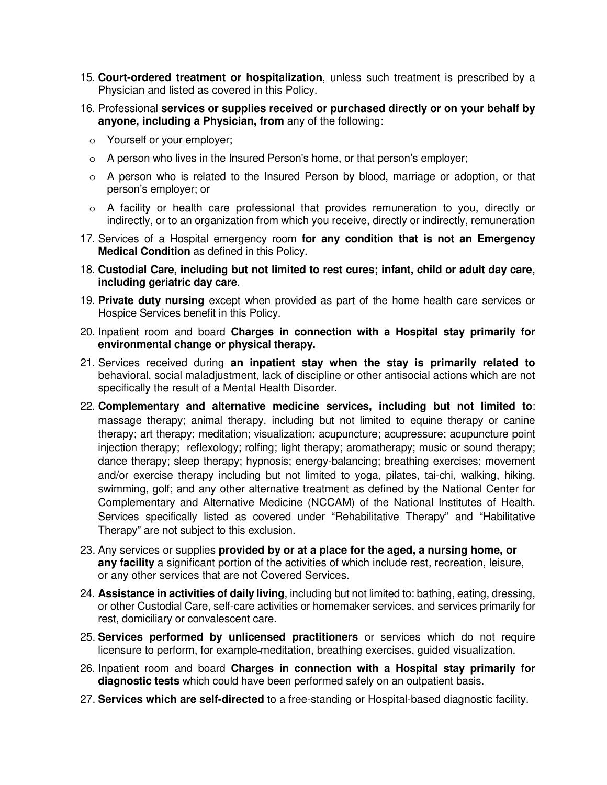- 15. **Court-ordered treatment or hospitalization**, unless such treatment is prescribed by a Physician and listed as covered in this Policy.
- 16. Professional **services or supplies received or purchased directly or on your behalf by anyone, including a Physician, from** any of the following:
	- o Yourself or your employer;
	- o A person who lives in the Insured Person's home, or that person's employer;
	- $\circ$  A person who is related to the Insured Person by blood, marriage or adoption, or that person's employer; or
	- o A facility or health care professional that provides remuneration to you, directly or indirectly, or to an organization from which you receive, directly or indirectly, remuneration
- 17. Services of a Hospital emergency room **for any condition that is not an Emergency Medical Condition** as defined in this Policy.
- 18. **Custodial Care, including but not limited to rest cures; infant, child or adult day care, including geriatric day care**.
- 19. **Private duty nursing** except when provided as part of the home health care services or Hospice Services benefit in this Policy.
- 20. Inpatient room and board **Charges in connection with a Hospital stay primarily for environmental change or physical therapy.**
- 21. Services received during **an inpatient stay when the stay is primarily related to**  behavioral, social maladjustment, lack of discipline or other antisocial actions which are not specifically the result of a Mental Health Disorder.
- 22. **Complementary and alternative medicine services, including but not limited to**: massage therapy; animal therapy, including but not limited to equine therapy or canine therapy; art therapy; meditation; visualization; acupuncture; acupressure; acupuncture point injection therapy; reflexology; rolfing; light therapy; aromatherapy; music or sound therapy; dance therapy; sleep therapy; hypnosis; energy-balancing; breathing exercises; movement and/or exercise therapy including but not limited to yoga, pilates, tai-chi, walking, hiking, swimming, golf; and any other alternative treatment as defined by the National Center for Complementary and Alternative Medicine (NCCAM) of the National Institutes of Health. Services specifically listed as covered under "Rehabilitative Therapy" and "Habilitative Therapy" are not subject to this exclusion.
- 23. Any services or supplies **provided by or at a place for the aged, a nursing home, or any facility** a significant portion of the activities of which include rest, recreation, leisure, or any other services that are not Covered Services.
- 24. **Assistance in activities of daily living**, including but not limited to: bathing, eating, dressing, or other Custodial Care, self-care activities or homemaker services, and services primarily for rest, domiciliary or convalescent care.
- 25. **Services performed by unlicensed practitioners** or services which do not require licensure to perform, for example-meditation, breathing exercises, quided visualization.
- 26. Inpatient room and board **Charges in connection with a Hospital stay primarily for diagnostic tests** which could have been performed safely on an outpatient basis.
- 27. **Services which are self-directed** to a free-standing or Hospital-based diagnostic facility.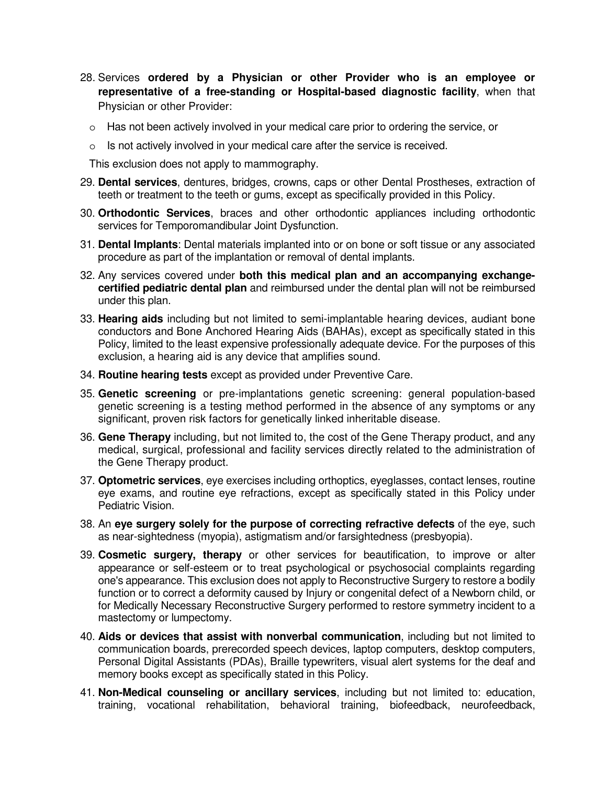- 28. Services **ordered by a Physician or other Provider who is an employee or representative of a free-standing or Hospital-based diagnostic facility**, when that Physician or other Provider:
	- $\circ$  Has not been actively involved in your medical care prior to ordering the service, or
	- o Is not actively involved in your medical care after the service is received.

This exclusion does not apply to mammography.

- 29. **Dental services**, dentures, bridges, crowns, caps or other Dental Prostheses, extraction of teeth or treatment to the teeth or gums, except as specifically provided in this Policy.
- 30. **Orthodontic Services**, braces and other orthodontic appliances including orthodontic services for Temporomandibular Joint Dysfunction.
- 31. **Dental Implants**: Dental materials implanted into or on bone or soft tissue or any associated procedure as part of the implantation or removal of dental implants.
- 32. Any services covered under **both this medical plan and an accompanying exchangecertified pediatric dental plan** and reimbursed under the dental plan will not be reimbursed under this plan.
- 33. **Hearing aids** including but not limited to semi-implantable hearing devices, audiant bone conductors and Bone Anchored Hearing Aids (BAHAs), except as specifically stated in this Policy, limited to the least expensive professionally adequate device. For the purposes of this exclusion, a hearing aid is any device that amplifies sound.
- 34. **Routine hearing tests** except as provided under Preventive Care.
- 35. **Genetic screening** or pre-implantations genetic screening: general population-based genetic screening is a testing method performed in the absence of any symptoms or any significant, proven risk factors for genetically linked inheritable disease.
- 36. **Gene Therapy** including, but not limited to, the cost of the Gene Therapy product, and any medical, surgical, professional and facility services directly related to the administration of the Gene Therapy product.
- 37. **Optometric services**, eye exercises including orthoptics, eyeglasses, contact lenses, routine eye exams, and routine eye refractions, except as specifically stated in this Policy under Pediatric Vision.
- 38. An **eye surgery solely for the purpose of correcting refractive defects** of the eye, such as near-sightedness (myopia), astigmatism and/or farsightedness (presbyopia).
- 39. **Cosmetic surgery, therapy** or other services for beautification, to improve or alter appearance or self-esteem or to treat psychological or psychosocial complaints regarding one's appearance. This exclusion does not apply to Reconstructive Surgery to restore a bodily function or to correct a deformity caused by Injury or congenital defect of a Newborn child, or for Medically Necessary Reconstructive Surgery performed to restore symmetry incident to a mastectomy or lumpectomy.
- 40. **Aids or devices that assist with nonverbal communication**, including but not limited to communication boards, prerecorded speech devices, laptop computers, desktop computers, Personal Digital Assistants (PDAs), Braille typewriters, visual alert systems for the deaf and memory books except as specifically stated in this Policy.
- 41. **Non-Medical counseling or ancillary services**, including but not limited to: education, training, vocational rehabilitation, behavioral training, biofeedback, neurofeedback,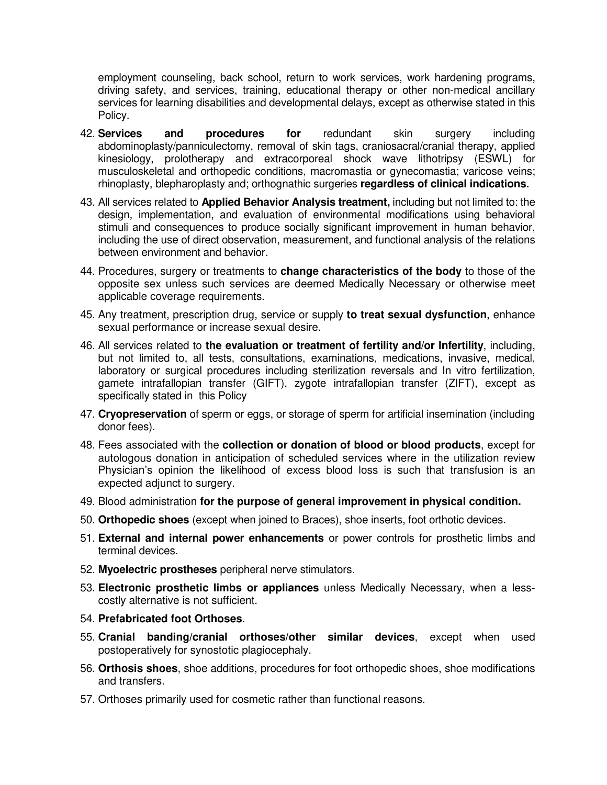employment counseling, back school, return to work services, work hardening programs, driving safety, and services, training, educational therapy or other non-medical ancillary services for learning disabilities and developmental delays, except as otherwise stated in this Policy.

- 42. **Services and procedures for** redundant skin surgery including abdominoplasty/panniculectomy, removal of skin tags, craniosacral/cranial therapy, applied kinesiology, prolotherapy and extracorporeal shock wave lithotripsy (ESWL) for musculoskeletal and orthopedic conditions, macromastia or gynecomastia; varicose veins; rhinoplasty, blepharoplasty and; orthognathic surgeries **regardless of clinical indications.**
- 43. All services related to **Applied Behavior Analysis treatment,** including but not limited to: the design, implementation, and evaluation of environmental modifications using behavioral stimuli and consequences to produce socially significant improvement in human behavior, including the use of direct observation, measurement, and functional analysis of the relations between environment and behavior.
- 44. Procedures, surgery or treatments to **change characteristics of the body** to those of the opposite sex unless such services are deemed Medically Necessary or otherwise meet applicable coverage requirements.
- 45. Any treatment, prescription drug, service or supply **to treat sexual dysfunction**, enhance sexual performance or increase sexual desire.
- 46. All services related to **the evaluation or treatment of fertility and/or Infertility**, including, but not limited to, all tests, consultations, examinations, medications, invasive, medical, laboratory or surgical procedures including sterilization reversals and In vitro fertilization, gamete intrafallopian transfer (GIFT), zygote intrafallopian transfer (ZIFT), except as specifically stated in this Policy
- 47. **Cryopreservation** of sperm or eggs, or storage of sperm for artificial insemination (including donor fees).
- 48. Fees associated with the **collection or donation of blood or blood products**, except for autologous donation in anticipation of scheduled services where in the utilization review Physician's opinion the likelihood of excess blood loss is such that transfusion is an expected adjunct to surgery.
- 49. Blood administration **for the purpose of general improvement in physical condition.**
- 50. **Orthopedic shoes** (except when joined to Braces), shoe inserts, foot orthotic devices.
- 51. **External and internal power enhancements** or power controls for prosthetic limbs and terminal devices.
- 52. **Myoelectric prostheses** peripheral nerve stimulators.
- 53. **Electronic prosthetic limbs or appliances** unless Medically Necessary, when a lesscostly alternative is not sufficient.
- 54. **Prefabricated foot Orthoses**.
- 55. **Cranial banding/cranial orthoses/other similar devices**, except when used postoperatively for synostotic plagiocephaly.
- 56. **Orthosis shoes**, shoe additions, procedures for foot orthopedic shoes, shoe modifications and transfers.
- 57. Orthoses primarily used for cosmetic rather than functional reasons.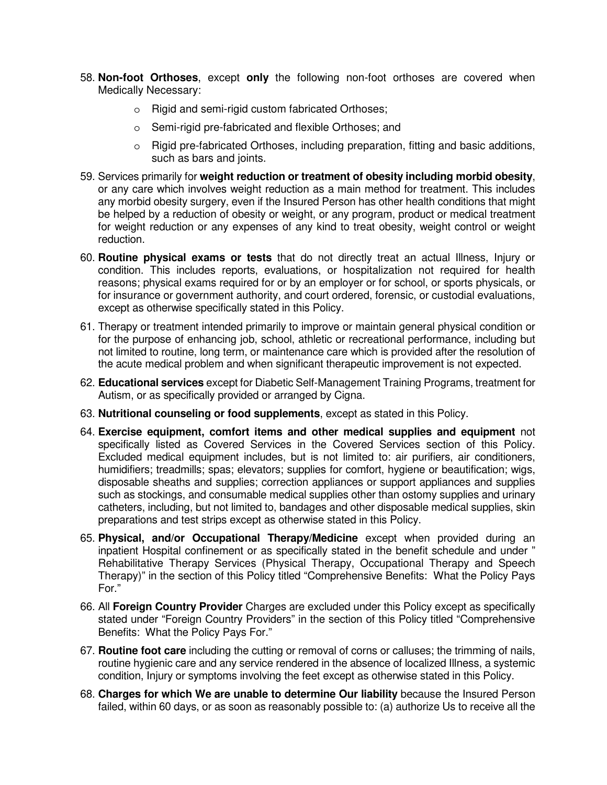- 58. **Non-foot Orthoses**, except **only** the following non-foot orthoses are covered when Medically Necessary:
	- o Rigid and semi-rigid custom fabricated Orthoses;
	- o Semi-rigid pre-fabricated and flexible Orthoses; and
	- $\circ$  Rigid pre-fabricated Orthoses, including preparation, fitting and basic additions, such as bars and joints.
- 59. Services primarily for **weight reduction or treatment of obesity including morbid obesity**, or any care which involves weight reduction as a main method for treatment. This includes any morbid obesity surgery, even if the Insured Person has other health conditions that might be helped by a reduction of obesity or weight, or any program, product or medical treatment for weight reduction or any expenses of any kind to treat obesity, weight control or weight reduction.
- 60. **Routine physical exams or tests** that do not directly treat an actual Illness, Injury or condition. This includes reports, evaluations, or hospitalization not required for health reasons; physical exams required for or by an employer or for school, or sports physicals, or for insurance or government authority, and court ordered, forensic, or custodial evaluations, except as otherwise specifically stated in this Policy.
- 61. Therapy or treatment intended primarily to improve or maintain general physical condition or for the purpose of enhancing job, school, athletic or recreational performance, including but not limited to routine, long term, or maintenance care which is provided after the resolution of the acute medical problem and when significant therapeutic improvement is not expected.
- 62. **Educational services** except for Diabetic Self-Management Training Programs, treatment for Autism, or as specifically provided or arranged by Cigna.
- 63. **Nutritional counseling or food supplements**, except as stated in this Policy.
- 64. **Exercise equipment, comfort items and other medical supplies and equipment** not specifically listed as Covered Services in the Covered Services section of this Policy. Excluded medical equipment includes, but is not limited to: air purifiers, air conditioners, humidifiers; treadmills; spas; elevators; supplies for comfort, hygiene or beautification; wigs, disposable sheaths and supplies; correction appliances or support appliances and supplies such as stockings, and consumable medical supplies other than ostomy supplies and urinary catheters, including, but not limited to, bandages and other disposable medical supplies, skin preparations and test strips except as otherwise stated in this Policy.
- 65. **Physical, and/or Occupational Therapy/Medicine** except when provided during an inpatient Hospital confinement or as specifically stated in the benefit schedule and under " Rehabilitative Therapy Services (Physical Therapy, Occupational Therapy and Speech Therapy)" in the section of this Policy titled "Comprehensive Benefits: What the Policy Pays For."
- 66. All **Foreign Country Provider** Charges are excluded under this Policy except as specifically stated under "Foreign Country Providers" in the section of this Policy titled "Comprehensive Benefits: What the Policy Pays For."
- 67. **Routine foot care** including the cutting or removal of corns or calluses; the trimming of nails, routine hygienic care and any service rendered in the absence of localized Illness, a systemic condition, Injury or symptoms involving the feet except as otherwise stated in this Policy.
- 68. **Charges for which We are unable to determine Our liability** because the Insured Person failed, within 60 days, or as soon as reasonably possible to: (a) authorize Us to receive all the